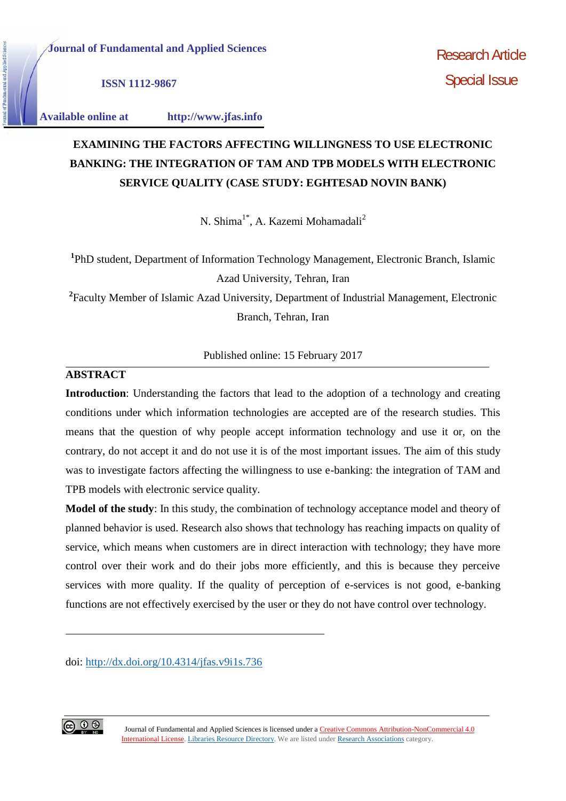**ISSN 1112-9867**

**Available online at http://www.jfas.info**

# **EXAMINING THE FACTORS AFFECTING WILLINGNESS TO USE ELECTRONIC BANKING: THE INTEGRATION OF TAM AND TPB MODELS WITH ELECTRONIC SERVICE QUALITY (CASE STUDY: EGHTESAD NOVIN BANK)**

N. Shima<sup>1\*</sup>, A. Kazemi Mohamadali<sup>2</sup>

**<sup>1</sup>**PhD student, Department of Information Technology Management, Electronic Branch, Islamic Azad University, Tehran, Iran

**<sup>2</sup>**Faculty Member of Islamic Azad University, Department of Industrial Management, Electronic Branch, Tehran, Iran

Published online: 15 February 2017

## **ABSTRACT**

**Introduction**: Understanding the factors that lead to the adoption of a technology and creating conditions under which information technologies are accepted are of the research studies. This means that the question of why people accept information technology and use it or, on the contrary, do not accept it and do not use it is of the most important issues. The aim of this study was to investigate factors affecting the willingness to use e-banking: the integration of TAM and TPB models with electronic service quality.

**Model of the study**: In this study, the combination of technology acceptance model and theory of planned behavior is used. Research also shows that technology has reaching impacts on quality of service, which means when customers are in direct interaction with technology; they have more control over their work and do their jobs more efficiently, and this is because they perceive services with more quality. If the quality of perception of e-services is not good, e-banking functions are not effectively exercised by the user or they do not have control over technology.

doi: http://dx.doi.org/10.4314/jfas.v9i1s.736

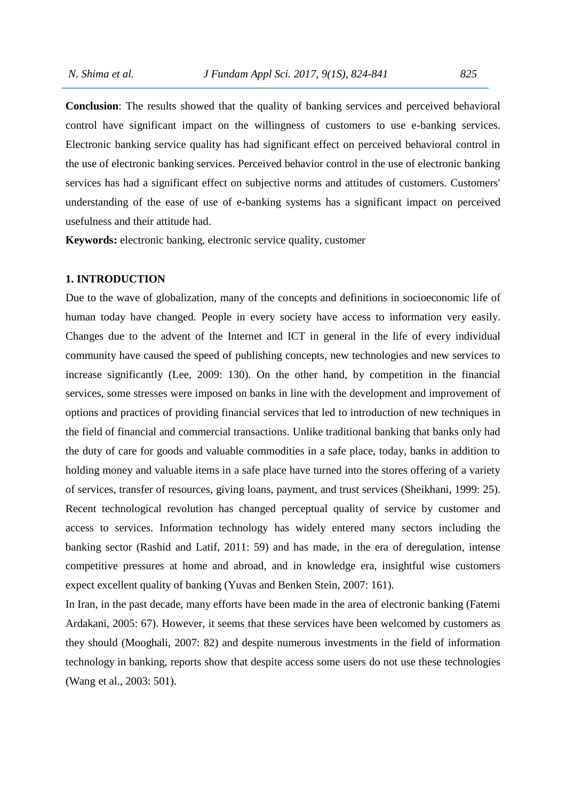**Conclusion**: The results showed that the quality of banking services and perceived behavioral control have significant impact on the willingness of customers to use e-banking services. Electronic banking service quality has had significant effect on perceived behavioral control in the use of electronic banking services. Perceived behavior control in the use of electronic banking services has had a significant effect on subjective norms and attitudes of customers. Customers' understanding of the ease of use of e-banking systems has a significant impact on perceived usefulness and their attitude had.

**Keywords:** electronic banking, electronic service quality, customer

# **1. INTRODUCTION**

Due to the wave of globalization, many of the concepts and definitions in socioeconomic life of human today have changed. People in every society have access to information very easily. Changes due to the advent of the Internet and ICT in general in the life of every individual community have caused the speed of publishing concepts, new technologies and new services to increase significantly (Lee, 2009: 130). On the other hand, by competition in the financial services, some stresses were imposed on banks in line with the development and improvement of options and practices of providing financial services that led to introduction of new techniques in the field of financial and commercial transactions. Unlike traditional banking that banks only had the duty of care for goods and valuable commodities in a safe place, today, banks in addition to holding money and valuable items in a safe place have turned into the stores offering of a variety of services, transfer of resources, giving loans, payment, and trust services (Sheikhani, 1999: 25). Recent technological revolution has changed perceptual quality of service by customer and access to services. Information technology has widely entered many sectors including the banking sector (Rashid and Latif, 2011: 59) and has made, in the era of deregulation, intense competitive pressures at home and abroad, and in knowledge era, insightful wise customers expect excellent quality of banking (Yuvas and Benken Stein, 2007: 161).

In Iran, in the past decade, many efforts have been made in the area of electronic banking (Fatemi Ardakani, 2005: 67). However, it seems that these services have been welcomed by customers as they should (Mooghali, 2007: 82) and despite numerous investments in the field of information technology in banking, reports show that despite access some users do not use these technologies (Wang et al., 2003: 501).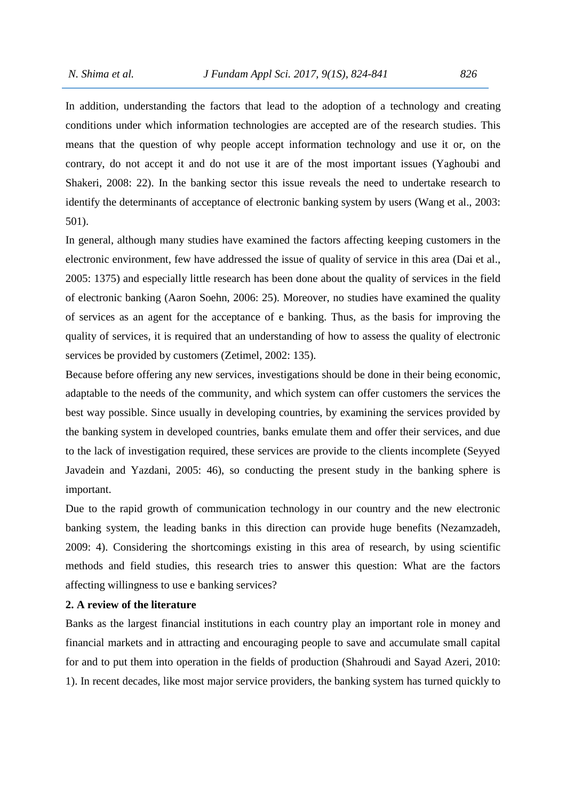In addition, understanding the factors that lead to the adoption of a technology and creating conditions under which information technologies are accepted are of the research studies. This means that the question of why people accept information technology and use it or, on the contrary, do not accept it and do not use it are of the most important issues (Yaghoubi and Shakeri, 2008: 22). In the banking sector this issue reveals the need to undertake research to identify the determinants of acceptance of electronic banking system by users (Wang et al., 2003: 501).

In general, although many studies have examined the factors affecting keeping customers in the electronic environment, few have addressed the issue of quality of service in this area (Dai et al., 2005: 1375) and especially little research has been done about the quality of services in the field of electronic banking (Aaron Soehn, 2006: 25). Moreover, no studies have examined the quality of services as an agent for the acceptance of e banking. Thus, as the basis for improving the quality of services, it is required that an understanding of how to assess the quality of electronic services be provided by customers (Zetimel, 2002: 135).

Because before offering any new services, investigations should be done in their being economic, adaptable to the needs of the community, and which system can offer customers the services the best way possible. Since usually in developing countries, by examining the services provided by the banking system in developed countries, banks emulate them and offer their services, and due to the lack of investigation required, these services are provide to the clients incomplete (Seyyed Javadein and Yazdani, 2005: 46), so conducting the present study in the banking sphere is important.

Due to the rapid growth of communication technology in our country and the new electronic banking system, the leading banks in this direction can provide huge benefits (Nezamzadeh, 2009: 4). Considering the shortcomings existing in this area of research, by using scientific methods and field studies, this research tries to answer this question: What are the factors affecting willingness to use e banking services?

# **2. A review of the literature**

Banks as the largest financial institutions in each country play an important role in money and financial markets and in attracting and encouraging people to save and accumulate small capital for and to put them into operation in the fields of production (Shahroudi and Sayad Azeri, 2010: 1). In recent decades, like most major service providers, the banking system has turned quickly to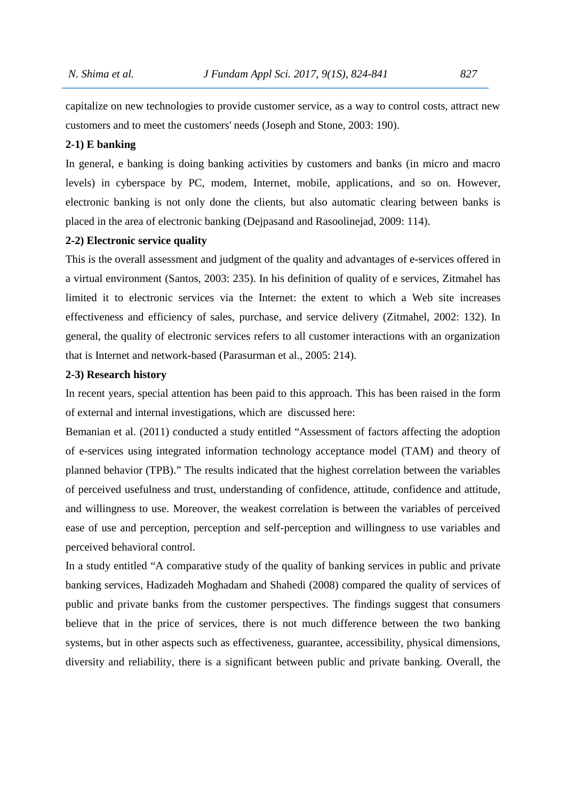capitalize on new technologies to provide customer service, as a way to control costs, attract new customers and to meet the customers' needs (Joseph and Stone, 2003: 190).

#### **2-1) E banking**

In general, e banking is doing banking activities by customers and banks (in micro and macro levels) in cyberspace by PC, modem, Internet, mobile, applications, and so on. However, electronic banking is not only done the clients, but also automatic clearing between banks is placed in the area of electronic banking (Dejpasand and Rasoolinejad, 2009: 114).

### **2-2) Electronic service quality**

This is the overall assessment and judgment of the quality and advantages of e-services offered in a virtual environment (Santos, 2003: 235). In his definition of quality of e services, Zitmahel has limited it to electronic services via the Internet: the extent to which a Web site increases effectiveness and efficiency of sales, purchase, and service delivery (Zitmahel, 2002: 132). In general, the quality of electronic services refers to all customer interactions with an organization that is Internet and network-based (Parasurman et al., 2005: 214).

#### **2-3) Research history**

In recent years, special attention has been paid to this approach. This has been raised in the form of external and internal investigations, which are discussed here:

Bemanian et al. (2011) conducted a study entitled "Assessment of factors affecting the adoption of e-services using integrated information technology acceptance model (TAM) and theory of planned behavior (TPB)." The results indicated that the highest correlation between the variables of perceived usefulness and trust, understanding of confidence, attitude, confidence and attitude, and willingness to use. Moreover, the weakest correlation is between the variables of perceived ease of use and perception, perception and self-perception and willingness to use variables and perceived behavioral control.

In a study entitled "A comparative study of the quality of banking services in public and private banking services, Hadizadeh Moghadam and Shahedi (2008) compared the quality of services of public and private banks from the customer perspectives. The findings suggest that consumers believe that in the price of services, there is not much difference between the two banking systems, but in other aspects such as effectiveness, guarantee, accessibility, physical dimensions, diversity and reliability, there is a significant between public and private banking. Overall, the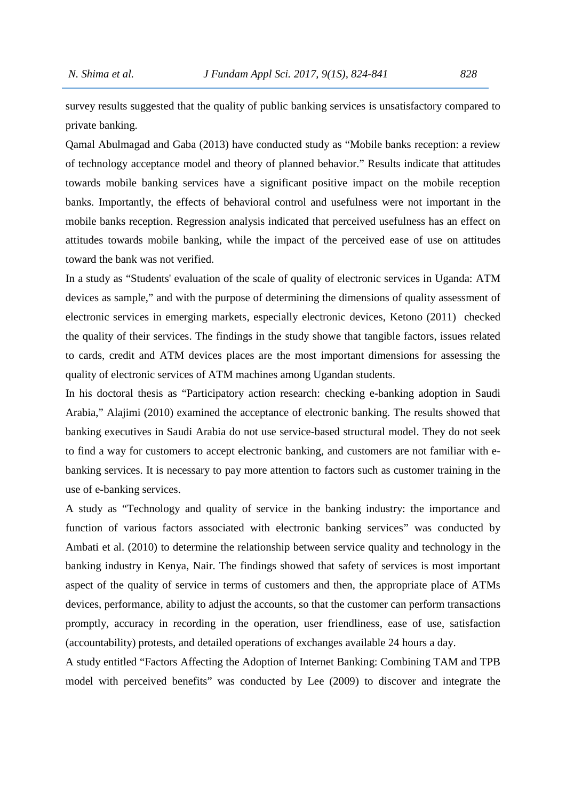survey results suggested that the quality of public banking services is unsatisfactory compared to private banking.

Qamal Abulmagad and Gaba (2013) have conducted study as "Mobile banks reception: a review of technology acceptance model and theory of planned behavior." Results indicate that attitudes towards mobile banking services have a significant positive impact on the mobile reception banks. Importantly, the effects of behavioral control and usefulness were not important in the mobile banks reception. Regression analysis indicated that perceived usefulness has an effect on attitudes towards mobile banking, while the impact of the perceived ease of use on attitudes toward the bank was not verified.

In a study as "Students' evaluation of the scale of quality of electronic services in Uganda: ATM devices as sample," and with the purpose of determining the dimensions of quality assessment of electronic services in emerging markets, especially electronic devices, Ketono (2011) checked the quality of their services. The findings in the study showe that tangible factors, issues related to cards, credit and ATM devices places are the most important dimensions for assessing the quality of electronic services of ATM machines among Ugandan students.

In his doctoral thesis as "Participatory action research: checking e-banking adoption in Saudi Arabia," Alajimi (2010) examined the acceptance of electronic banking. The results showed that banking executives in Saudi Arabia do not use service-based structural model. They do not seek to find a way for customers to accept electronic banking, and customers are not familiar with e banking services. It is necessary to pay more attention to factors such as customer training in the use of e-banking services.

A study as "Technology and quality of service in the banking industry: the importance and function of various factors associated with electronic banking services" was conducted by Ambati et al. (2010) to determine the relationship between service quality and technology in the banking industry in Kenya, Nair. The findings showed that safety of services is most important aspect of the quality of service in terms of customers and then, the appropriate place of ATMs devices, performance, ability to adjust the accounts, so that the customer can perform transactions promptly, accuracy in recording in the operation, user friendliness, ease of use, satisfaction (accountability) protests, and detailed operations of exchanges available 24 hours a day.

A study entitled "Factors Affecting the Adoption of Internet Banking: Combining TAM and TPB model with perceived benefits" was conducted by Lee (2009) to discover and integrate the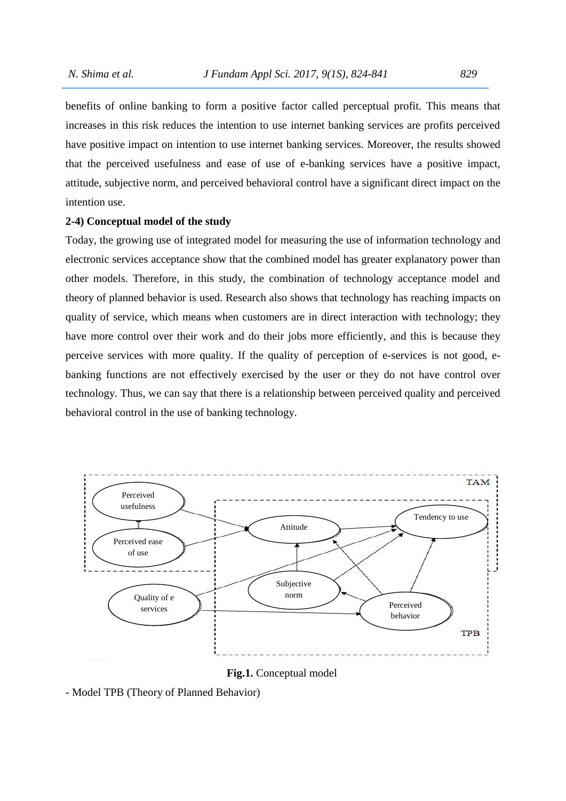benefits of online banking to form a positive factor called perceptual profit. This means that increases in this risk reduces the intention to use internet banking services are profits perceived have positive impact on intention to use internet banking services. Moreover, the results showed that the perceived usefulness and ease of use of e-banking services have a positive impact, attitude, subjective norm, and perceived behavioral control have a significant direct impact on the intention use.

#### **2-4) Conceptual model of the study**

Today, the growing use of integrated model for measuring the use of information technology and electronic services acceptance show that the combined model has greater explanatory power than other models. Therefore, in this study, the combination of technology acceptance model and theory of planned behavior is used. Research also shows that technology has reaching impacts on quality of service, which means when customers are in direct interaction with technology; they have more control over their work and do their jobs more efficiently, and this is because they perceive services with more quality. If the quality of perception of e-services is not good, e banking functions are not effectively exercised by the user or they do not have control over technology. Thus, we can say that there is a relationship between perceived quality and perceived behavioral control in the use of banking technology.



**Fig.1.** Conceptual model

<sup>-</sup> Model TPB (Theory of Planned Behavior)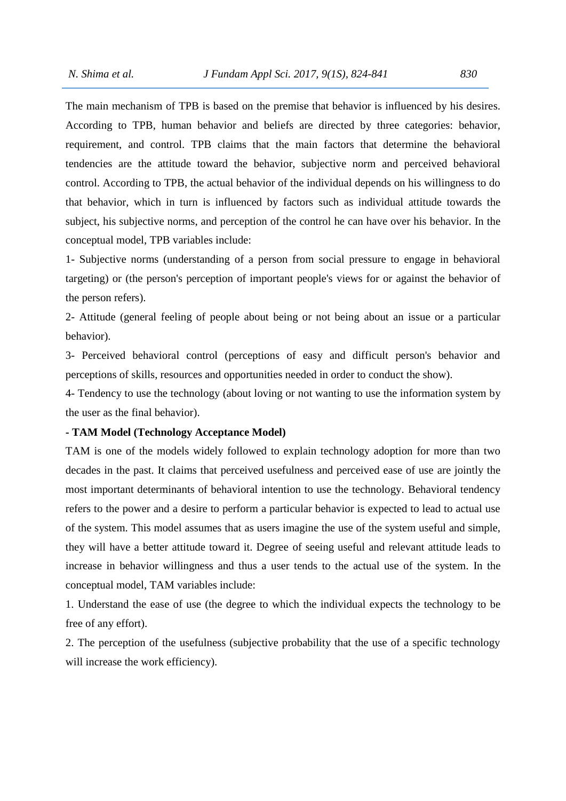The main mechanism of TPB is based on the premise that behavior is influenced by his desires. According to TPB, human behavior and beliefs are directed by three categories: behavior, requirement, and control. TPB claims that the main factors that determine the behavioral tendencies are the attitude toward the behavior, subjective norm and perceived behavioral control. According to TPB, the actual behavior of the individual depends on his willingness to do that behavior, which in turn is influenced by factors such as individual attitude towards the subject, his subjective norms, and perception of the control he can have over his behavior. In the conceptual model, TPB variables include:

1- Subjective norms (understanding of a person from social pressure to engage in behavioral targeting) or (the person's perception of important people's views for or against the behavior of the person refers).

2- Attitude (general feeling of people about being or not being about an issue or a particular behavior).

3- Perceived behavioral control (perceptions of easy and difficult person's behavior and perceptions of skills, resources and opportunities needed in order to conduct the show).

4- Tendency to use the technology (about loving or not wanting to use the information system by the user as the final behavior).

#### **- TAM Model (Technology Acceptance Model)**

TAM is one of the models widely followed to explain technology adoption for more than two decades in the past. It claims that perceived usefulness and perceived ease of use are jointly the most important determinants of behavioral intention to use the technology. Behavioral tendency refers to the power and a desire to perform a particular behavior is expected to lead to actual use of the system. This model assumes that as users imagine the use of the system useful and simple, they will have a better attitude toward it. Degree of seeing useful and relevant attitude leads to increase in behavior willingness and thus a user tends to the actual use of the system. In the conceptual model, TAM variables include:

1. Understand the ease of use (the degree to which the individual expects the technology to be free of any effort).

2. The perception of the usefulness (subjective probability that the use of a specific technology will increase the work efficiency).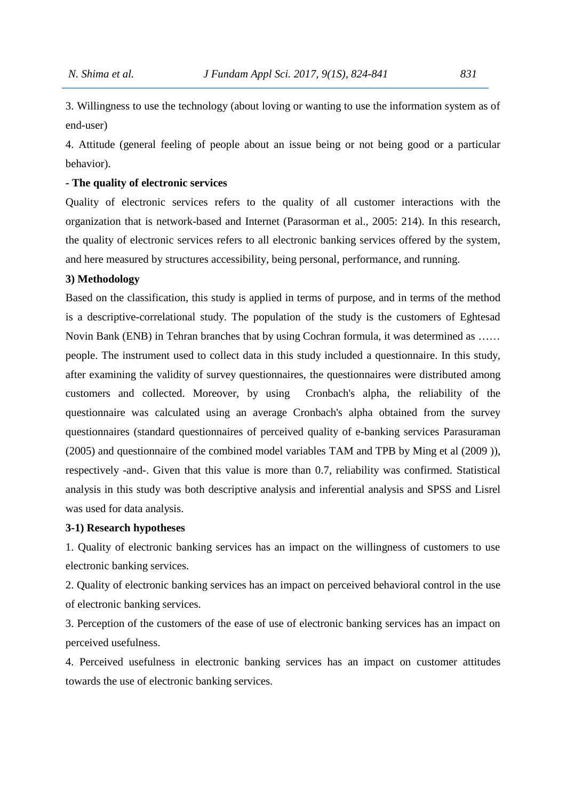3. Willingness to use the technology (about loving or wanting to use the information system as of end-user)

4. Attitude (general feeling of people about an issue being or not being good or a particular behavior).

# **- The quality of electronic services**

Quality of electronic services refers to the quality of all customer interactions with the organization that is network-based and Internet (Parasorman et al., 2005: 214). In this research, the quality of electronic services refers to all electronic banking services offered by the system, and here measured by structures accessibility, being personal, performance, and running.

#### **3) Methodology**

Based on the classification, this study is applied in terms of purpose, and in terms of the method is a descriptive-correlational study. The population of the study is the customers of Eghtesad Novin Bank (ENB) in Tehran branches that by using Cochran formula, it was determined as …… people. The instrument used to collect data in this study included a questionnaire. In this study, after examining the validity of survey questionnaires, the questionnaires were distributed among customers and collected. Moreover, by using Cronbach's alpha, the reliability of the questionnaire was calculated using an average Cronbach's alpha obtained from the survey questionnaires (standard questionnaires of perceived quality of e-banking services Parasuraman (2005) and questionnaire of the combined model variables TAM and TPB by Ming et al (2009 )), respectively -and-. Given that this value is more than 0.7, reliability was confirmed. Statistical analysis in this study was both descriptive analysis and inferential analysis and SPSS and Lisrel was used for data analysis.

#### **3-1) Research hypotheses**

1. Quality of electronic banking services has an impact on the willingness of customers to use electronic banking services.

2. Quality of electronic banking services has an impact on perceived behavioral control in the use of electronic banking services.

3. Perception of the customers of the ease of use of electronic banking services has an impact on perceived usefulness.

4. Perceived usefulness in electronic banking services has an impact on customer attitudes towards the use of electronic banking services.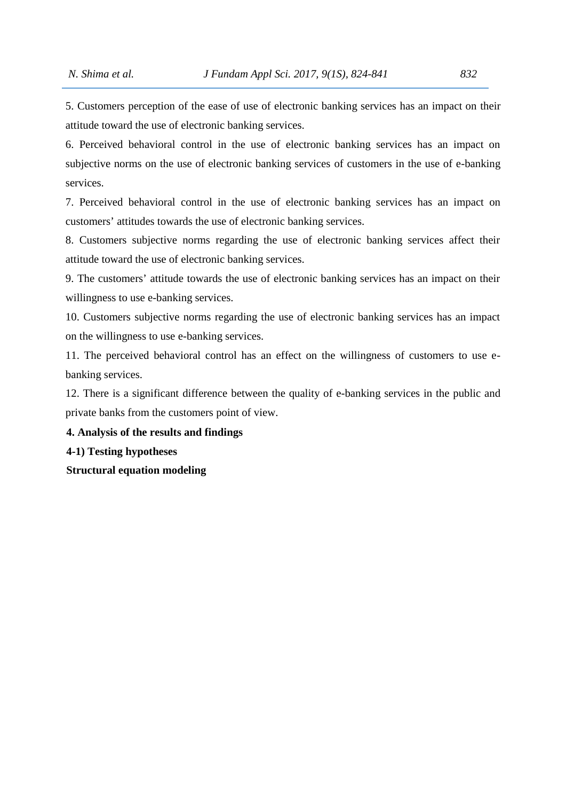5. Customers perception of the ease of use of electronic banking services has an impact on their attitude toward the use of electronic banking services.

6. Perceived behavioral control in the use of electronic banking services has an impact on subjective norms on the use of electronic banking services of customers in the use of e-banking services.

7. Perceived behavioral control in the use of electronic banking services has an impact on customers' attitudes towards the use of electronic banking services.

8. Customers subjective norms regarding the use of electronic banking services affect their attitude toward the use of electronic banking services.

9. The customers' attitude towards the use of electronic banking services has an impact on their willingness to use e-banking services.

10. Customers subjective norms regarding the use of electronic banking services has an impact on the willingness to use e-banking services.

11. The perceived behavioral control has an effect on the willingness of customers to use e banking services.

12. There is a significant difference between the quality of e-banking services in the public and private banks from the customers point of view.

**4. Analysis of the results and findings**

**4-1) Testing hypotheses**

**Structural equation modeling**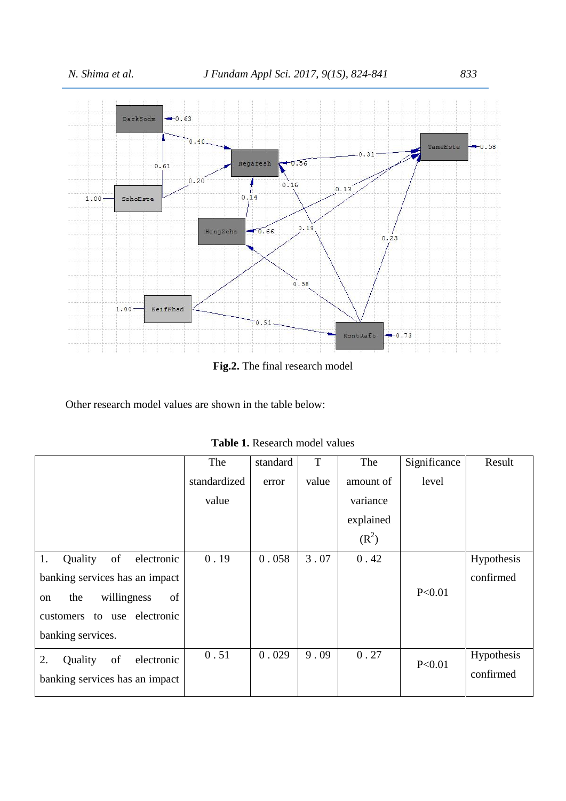

**Fig.2.** The final research model

Other research model values are shown in the table below:

|                                   | The          | standard | T     | The       | Significance | Result     |
|-----------------------------------|--------------|----------|-------|-----------|--------------|------------|
|                                   | standardized | error    | value | amount of | level        |            |
|                                   | value        |          |       | variance  |              |            |
|                                   |              |          |       | explained |              |            |
|                                   |              |          |       | $(R^2)$   |              |            |
| Quality<br>of<br>electronic<br>1. | 0.19         | 0.058    | 3.07  | 0.42      |              | Hypothesis |
| banking services has an impact    |              |          |       |           |              | confirmed  |
| the<br>willingness<br>of<br>on    |              |          |       |           | P<0.01       |            |
| customers to use electronic       |              |          |       |           |              |            |
| banking services.                 |              |          |       |           |              |            |
| Quality<br>of<br>2.<br>electronic | 0.51         | 0.029    | 9.09  | 0.27      | P<0.01       | Hypothesis |
| banking services has an impact    |              |          |       |           |              | confirmed  |

**Table 1.** Research model values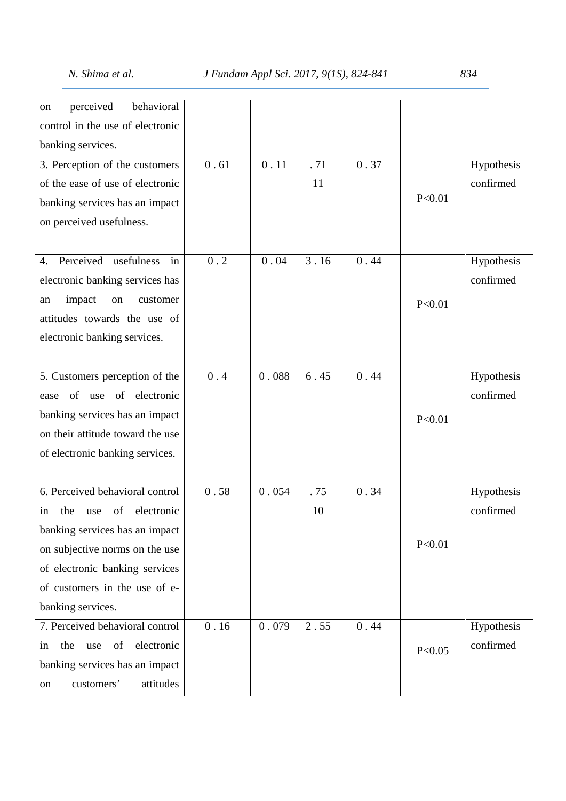# *N. Shima et al. J Fundam Appl Sci. 2017, 9(1S), 824-841 834*

| perceived<br>behavioral<br>on        |      |       |      |      |          |            |
|--------------------------------------|------|-------|------|------|----------|------------|
| control in the use of electronic     |      |       |      |      |          |            |
| banking services.                    |      |       |      |      |          |            |
| 3. Perception of the customers       | 0.61 | 0.11  | .71  | 0.37 |          | Hypothesis |
| of the ease of use of electronic     |      |       | 11   |      |          | confirmed  |
| banking services has an impact       |      |       |      |      | P < 0.01 |            |
| on perceived usefulness.             |      |       |      |      |          |            |
|                                      |      |       |      |      |          |            |
| Perceived<br>usefulness<br>in<br>4.  | 0.2  | 0.04  | 3.16 | 0.44 |          | Hypothesis |
| electronic banking services has      |      |       |      |      |          | confirmed  |
| impact<br>on<br>customer<br>an       |      |       |      |      | P < 0.01 |            |
| attitudes towards the use of         |      |       |      |      |          |            |
| electronic banking services.         |      |       |      |      |          |            |
|                                      |      |       |      |      |          |            |
| 5. Customers perception of the       | 0.4  | 0.088 | 6.45 | 0.44 |          | Hypothesis |
| of use of electronic<br>ease         |      |       |      |      |          | confirmed  |
| banking services has an impact       |      |       |      |      | P < 0.01 |            |
| on their attitude toward the use     |      |       |      |      |          |            |
| of electronic banking services.      |      |       |      |      |          |            |
|                                      |      |       |      |      |          |            |
| 6. Perceived behavioral control      | 0.58 | 0.054 | .75  | 0.34 |          | Hypothesis |
| of<br>electronic<br>the<br>use<br>1n |      |       | 10   |      |          | confirmed  |
| banking services has an impact       |      |       |      |      |          |            |
| on subjective norms on the use       |      |       |      |      | P<0.01   |            |
| of electronic banking services       |      |       |      |      |          |            |
| of customers in the use of e-        |      |       |      |      |          |            |
| banking services.                    |      |       |      |      |          |            |
| 7. Perceived behavioral control      | 0.16 | 0.079 | 2.55 | 0.44 |          | Hypothesis |
| of<br>electronic<br>the<br>use<br>in |      |       |      |      | P<0.05   | confirmed  |
| banking services has an impact       |      |       |      |      |          |            |
| customers'<br>attitudes<br>on        |      |       |      |      |          |            |
|                                      |      |       |      |      |          |            |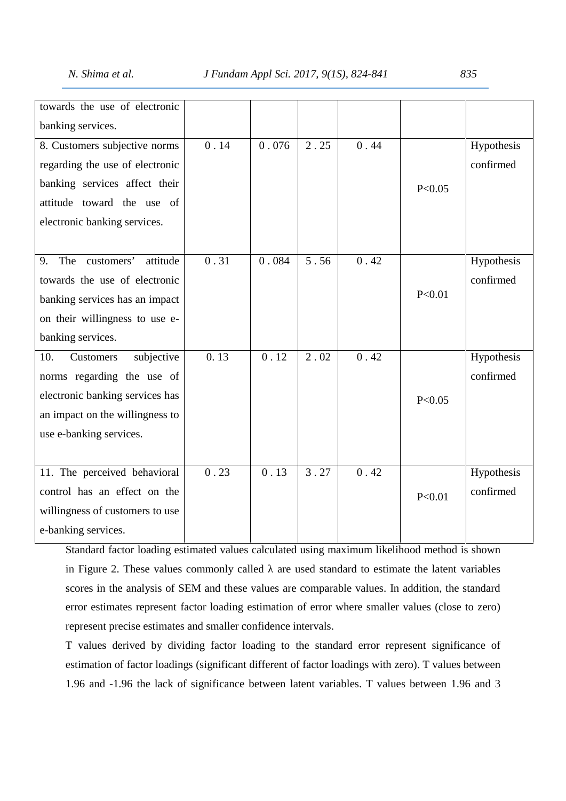# *N. Shima et al. J Fundam Appl Sci. 2017, 9(1S), 824-841 835*

| 0.14 | 0.076 | 2.25 | 0.44 | Hypothesis                               |
|------|-------|------|------|------------------------------------------|
|      |       |      |      | confirmed                                |
|      |       |      |      |                                          |
|      |       |      |      |                                          |
|      |       |      |      |                                          |
|      |       |      |      |                                          |
| 0.31 | 0.084 | 5.56 | 0.42 | Hypothesis                               |
|      |       |      |      | confirmed                                |
|      |       |      |      |                                          |
|      |       |      |      |                                          |
|      |       |      |      |                                          |
| 0.13 | 0.12  | 2.02 | 0.42 | Hypothesis                               |
|      |       |      |      | confirmed                                |
|      |       |      |      |                                          |
|      |       |      |      |                                          |
|      |       |      |      |                                          |
|      |       |      |      |                                          |
| 0.23 | 0.13  | 3.27 | 0.42 | Hypothesis                               |
|      |       |      |      | confirmed                                |
|      |       |      |      |                                          |
|      |       |      |      |                                          |
|      |       |      |      | P<0.05<br>P < 0.01<br>P<0.05<br>P < 0.01 |

Standard factor loading estimated values calculated using maximum likelihood method is shown in Figure 2. These values commonly called are used standard to estimate the latent variables scores in the analysis of SEM and these values are comparable values. In addition, the standard error estimates represent factor loading estimation of error where smaller values (close to zero) represent precise estimates and smaller confidence intervals.

T values derived by dividing factor loading to the standard error represent significance of estimation of factor loadings (significant different of factor loadings with zero). T values between 1.96 and -1.96 the lack of significance between latent variables. T values between 1.96 and 3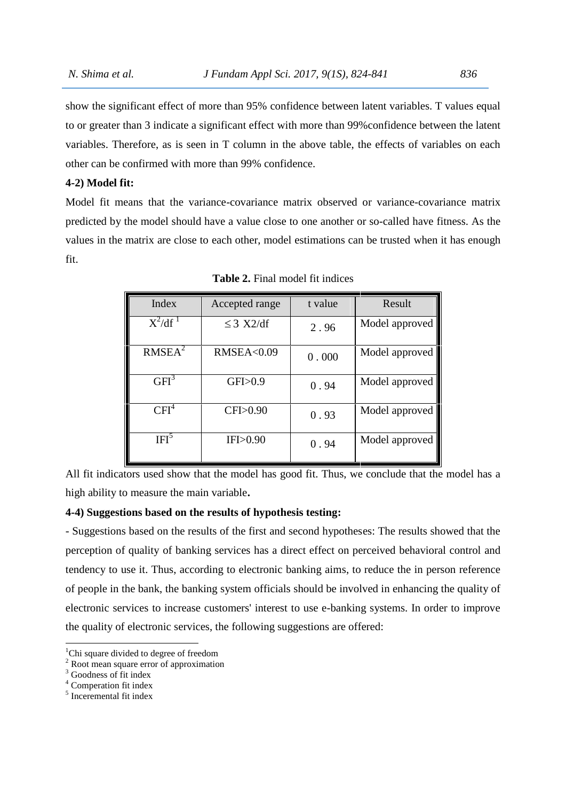show the significant effect of more than 95% confidence between latent variables. T values equal to or greater than 3 indicate a significant effect with more than 99%confidence between the latent variables. Therefore, as is seen in T column in the above table, the effects of variables on each other can be confirmed with more than 99% confidence.

# **4-2) Model fit:**

Model fit means that the variance-covariance matrix observed or variance-covariance matrix predicted by the model should have a value close to one another or so-called have fitness. As the values in the matrix are close to each other, model estimations can be trusted when it has enough fit.

| Index              | Accepted range       | t value | Result         |  |
|--------------------|----------------------|---------|----------------|--|
| $X^2/df^1$         | $\leq$ 3 X2/df       | 2.96    | Model approved |  |
| RMSEA <sup>2</sup> | <b>RMSEA&lt;0.09</b> | 0.000   | Model approved |  |
| GFI <sup>3</sup>   | GFJ>0.9              | 0.94    | Model approved |  |
| CFI <sup>4</sup>   | CFI>0.90             | 0.93    | Model approved |  |
| IFI <sup>5</sup>   | IFJ>0.90             | 0.94    | Model approved |  |

| <b>Table 2.</b> Final model fit indices |  |
|-----------------------------------------|--|
|-----------------------------------------|--|

All fit indicators used show that the model has good fit. Thus, we conclude that the model has a high ability to measure the main variable**.**

### **4-4) Suggestions based on the results of hypothesis testing:**

- Suggestions based on the results of the first and second hypotheses: The results showed that the perception of quality of banking services has a direct effect on perceived behavioral control and tendency to use it. Thus, according to electronic banking aims, to reduce the in person reference of people in the bank, the banking system officials should be involved in enhancing the quality of electronic services to increase customers' interest to use e-banking systems. In order to improve the quality of electronic services, the following suggestions are offered:

<sup>&</sup>lt;sup>1</sup>Chi square divided to degree of freedom

<sup>2</sup> Root mean square error of approximation

<sup>&</sup>lt;sup>3</sup> Goodness of fit index

<sup>4</sup> Comperation fit index

 $<sup>5</sup>$  Inceremental fit index</sup>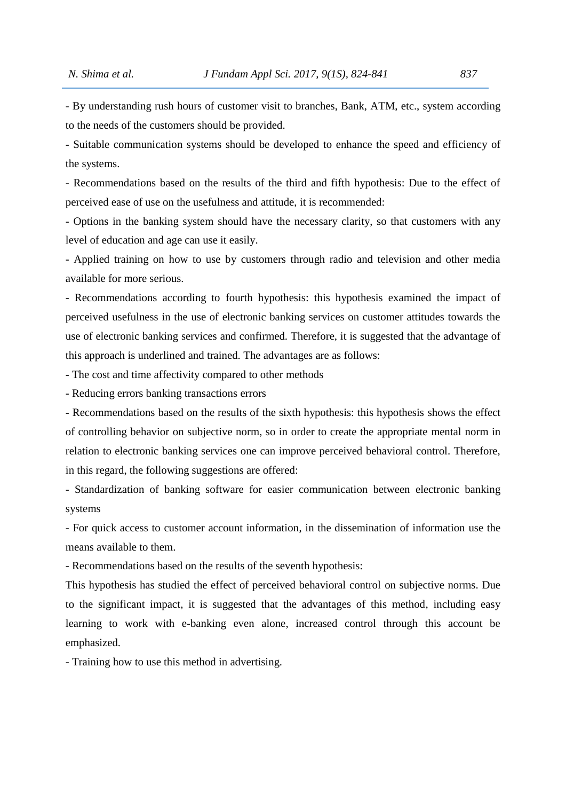- By understanding rush hours of customer visit to branches, Bank, ATM, etc., system according to the needs of the customers should be provided.

- Suitable communication systems should be developed to enhance the speed and efficiency of the systems.

- Recommendations based on the results of the third and fifth hypothesis: Due to the effect of perceived ease of use on the usefulness and attitude, it is recommended:

- Options in the banking system should have the necessary clarity, so that customers with any level of education and age can use it easily.

- Applied training on how to use by customers through radio and television and other media available for more serious.

- Recommendations according to fourth hypothesis: this hypothesis examined the impact of perceived usefulness in the use of electronic banking services on customer attitudes towards the use of electronic banking services and confirmed. Therefore, it is suggested that the advantage of this approach is underlined and trained. The advantages are as follows:

- The cost and time affectivity compared to other methods

- Reducing errors banking transactions errors

- Recommendations based on the results of the sixth hypothesis: this hypothesis shows the effect of controlling behavior on subjective norm, so in order to create the appropriate mental norm in relation to electronic banking services one can improve perceived behavioral control. Therefore, in this regard, the following suggestions are offered:

- Standardization of banking software for easier communication between electronic banking systems

- For quick access to customer account information, in the dissemination of information use the means available to them.

- Recommendations based on the results of the seventh hypothesis:

This hypothesis has studied the effect of perceived behavioral control on subjective norms. Due to the significant impact, it is suggested that the advantages of this method, including easy learning to work with e-banking even alone, increased control through this account be emphasized.

- Training how to use this method in advertising.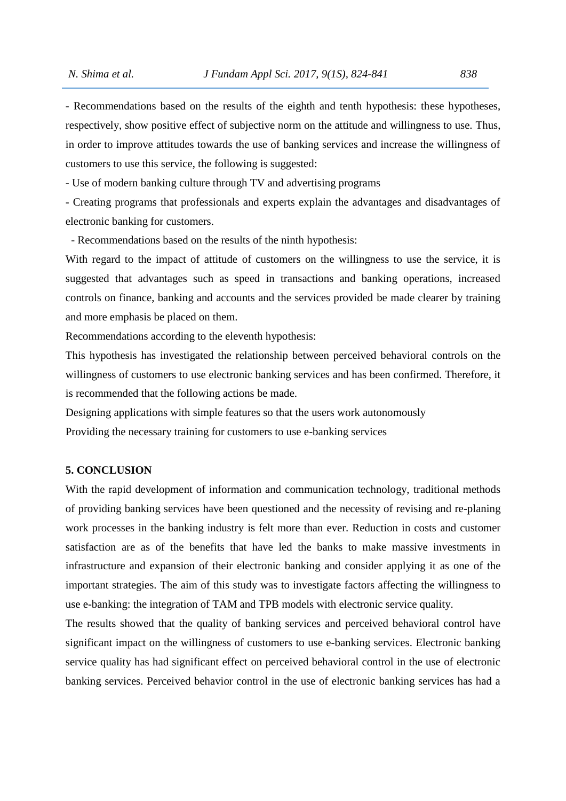- Recommendations based on the results of the eighth and tenth hypothesis: these hypotheses, respectively, show positive effect of subjective norm on the attitude and willingness to use. Thus, in order to improve attitudes towards the use of banking services and increase the willingness of customers to use this service, the following is suggested:

- Use of modern banking culture through TV and advertising programs

- Creating programs that professionals and experts explain the advantages and disadvantages of electronic banking for customers.

- Recommendations based on the results of the ninth hypothesis:

With regard to the impact of attitude of customers on the willingness to use the service, it is suggested that advantages such as speed in transactions and banking operations, increased controls on finance, banking and accounts and the services provided be made clearer by training and more emphasis be placed on them.

Recommendations according to the eleventh hypothesis:

This hypothesis has investigated the relationship between perceived behavioral controls on the willingness of customers to use electronic banking services and has been confirmed. Therefore, it is recommended that the following actions be made.

Designing applications with simple features so that the users work autonomously

Providing the necessary training for customers to use e-banking services

### **5. CONCLUSION**

With the rapid development of information and communication technology, traditional methods of providing banking services have been questioned and the necessity of revising and re-planing work processes in the banking industry is felt more than ever. Reduction in costs and customer satisfaction are as of the benefits that have led the banks to make massive investments in infrastructure and expansion of their electronic banking and consider applying it as one of the important strategies. The aim of this study was to investigate factors affecting the willingness to use e-banking: the integration of TAM and TPB models with electronic service quality.

The results showed that the quality of banking services and perceived behavioral control have significant impact on the willingness of customers to use e-banking services. Electronic banking service quality has had significant effect on perceived behavioral control in the use of electronic banking services. Perceived behavior control in the use of electronic banking services has had a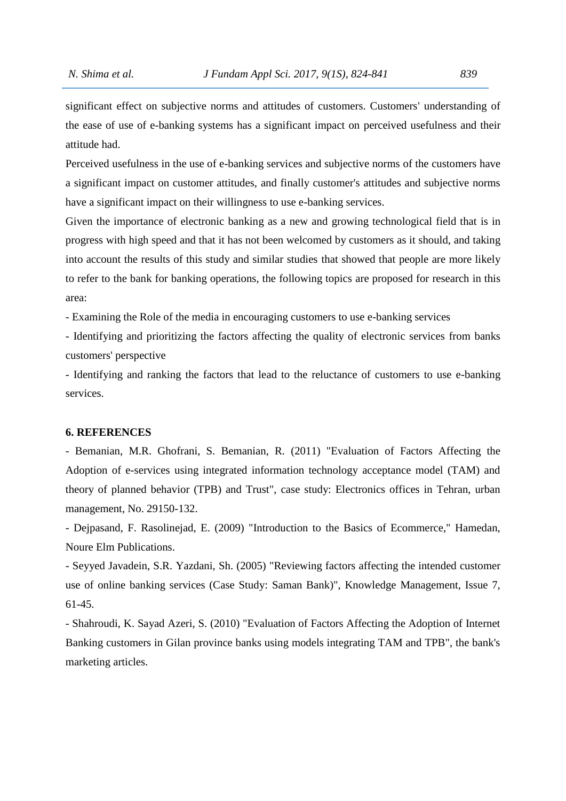significant effect on subjective norms and attitudes of customers. Customers' understanding of the ease of use of e-banking systems has a significant impact on perceived usefulness and their attitude had.

Perceived usefulness in the use of e-banking services and subjective norms of the customers have a significant impact on customer attitudes, and finally customer's attitudes and subjective norms have a significant impact on their willingness to use e-banking services.

Given the importance of electronic banking as a new and growing technological field that is in progress with high speed and that it has not been welcomed by customers as it should, and taking into account the results of this study and similar studies that showed that people are more likely to refer to the bank for banking operations, the following topics are proposed for research in this area:

- Examining the Role of the media in encouraging customers to use e-banking services

- Identifying and prioritizing the factors affecting the quality of electronic services from banks customers' perspective

- Identifying and ranking the factors that lead to the reluctance of customers to use e-banking services.

# **6. REFERENCES**

- Bemanian, M.R. Ghofrani, S. Bemanian, R. (2011) "Evaluation of Factors Affecting the Adoption of e-services using integrated information technology acceptance model (TAM) and theory of planned behavior (TPB) and Trust", case study: Electronics offices in Tehran, urban management, No. 29150-132.

- Dejpasand, F. Rasolinejad, E. (2009) "Introduction to the Basics of Ecommerce," Hamedan, Noure Elm Publications.

- Seyyed Javadein, S.R. Yazdani, Sh. (2005) "Reviewing factors affecting the intended customer use of online banking services (Case Study: Saman Bank)", Knowledge Management, Issue 7, 61-45.

- Shahroudi, K. Sayad Azeri, S. (2010) "Evaluation of Factors Affecting the Adoption of Internet Banking customers in Gilan province banks using models integrating TAM and TPB", the bank's marketing articles.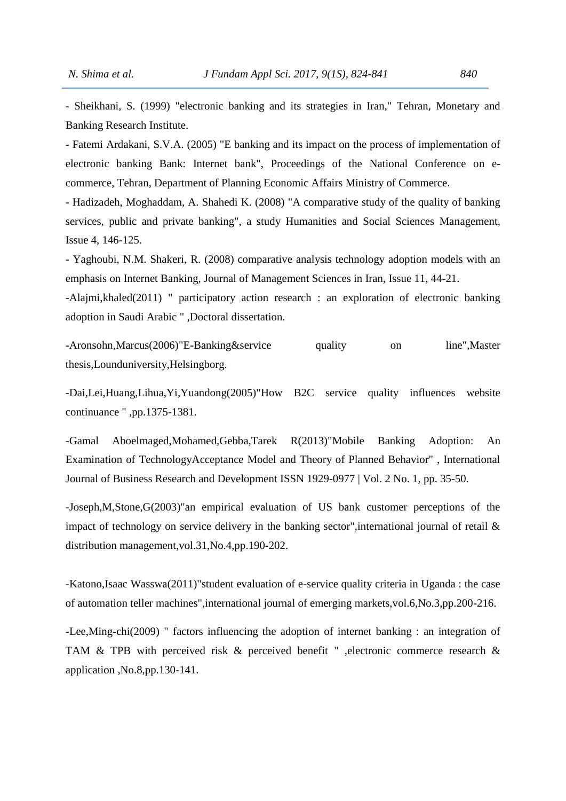- Sheikhani, S. (1999) "electronic banking and its strategies in Iran," Tehran, Monetary and Banking Research Institute.

- Fatemi Ardakani, S.V.A. (2005) "E banking and its impact on the process of implementation of electronic banking Bank: Internet bank", Proceedings of the National Conference on e commerce, Tehran, Department of Planning Economic Affairs Ministry of Commerce.

- Hadizadeh, Moghaddam, A. Shahedi K. (2008) "A comparative study of the quality of banking services, public and private banking", a study Humanities and Social Sciences Management, Issue 4, 146-125.

- Yaghoubi, N.M. Shakeri, R. (2008) comparative analysis technology adoption models with an emphasis on Internet Banking, Journal of Management Sciences in Iran, Issue 11, 44-21.

-Alajmi,khaled(2011) " participatory action research : an exploration of electronic banking adoption in Saudi Arabic " ,Doctoral dissertation.

-Aronsohn,Marcus(2006)"E-Banking&service quality on line",Master thesis,Lounduniversity,Helsingborg.

-Dai,Lei,Huang,Lihua,Yi,Yuandong(2005)"How B2C service quality influences website continuance " ,pp.1375-1381.

-Gamal Aboelmaged,Mohamed,Gebba,Tarek R(2013)"Mobile Banking Adoption: An Examination of TechnologyAcceptance Model and Theory of Planned Behavior" , International Journal of Business Research and Development ISSN 1929 0977 | Vol. 2 No. 1, pp. 35–50.

-Joseph,M,Stone,G(2003)"an empirical evaluation of US bank customer perceptions of the impact of technology on service delivery in the banking sector", international journal of retail  $\&$ distribution management,vol.31,No.4,pp.190-202.

-Katono,Isaac Wasswa(2011)"student evaluation of e-service quality criteria in Uganda : the case of automation teller machines",international journal of emerging markets,vol.6,No.3,pp.200-216.

-Lee,Ming-chi(2009) " factors influencing the adoption of internet banking : an integration of TAM & TPB with perceived risk & perceived benefit " ,electronic commerce research & application ,No.8,pp.130-141.